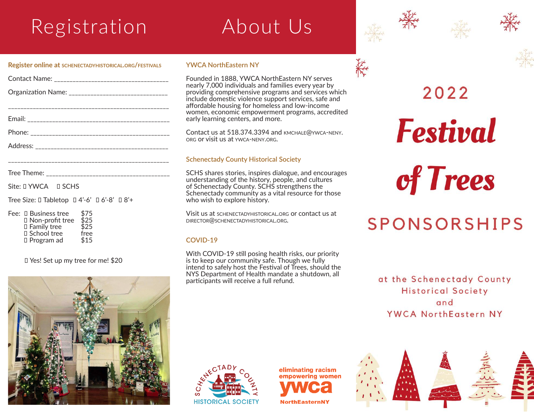# Registration About Us



\_\_\_\_\_\_\_\_\_\_\_\_\_\_\_\_\_\_\_\_\_\_\_\_\_\_\_\_\_\_\_\_\_\_\_\_\_\_\_\_\_\_\_\_\_\_\_\_\_\_\_\_

| Tree Theme: | --- |
|-------------|-----|

Site:  $I$  YWCA  $I$  SCHS

Tree Size:  $\Box$  Tabletop  $\Box$  4'-6'  $\Box$  6'-8'  $\Box$  8'+

Fee: 0 Business tree \$75  $\Box$  Non-profit tree \$25 Family tree \$25 □ School tree free<br>□ Program ad \$15  $\Box$  Program ad

Yes! Set up my tree for me! \$20



#### **YWCA NorthEastern NY**

Founded in 1888, YWCA NorthEastern NY serves nearly 7,000 individuals and families every year by providing comprehensive programs and services which include domestic violence support services, safe and affordable housing for homeless and low-income women, economic empowerment programs, accredited early learning centers, and more.

Contact us at 518.374.3394 and kmchale@ywca-neny. org or visit us at ywca-neny.org.

### **Schenectady County Historical Society**

SCHS shares stories, inspires dialogue, and encourages understanding of the history, people, and cultures of Schenectady County. SCHS strengthens the Schenectady community as a vital resource for those who wish to explore history.

Visit us at schenectadyhistorical.org or contact us at director@schenectadyhistorical.org.

#### **COVID-19**

With COVID-19 still posing health risks, our priority is to keep our community safe. Though we fully intend to safely host the Festival of Trees, should the NYS Department of Health mandate a shutdown, all participants will receive a full refund.



**Festival** 

of Trees

# **SPONSORSHIPS**

at the Schenectady County **Historical Society** and YWCA NorthEastern NY



eliminating racism empowering women **NorthEasternNY**